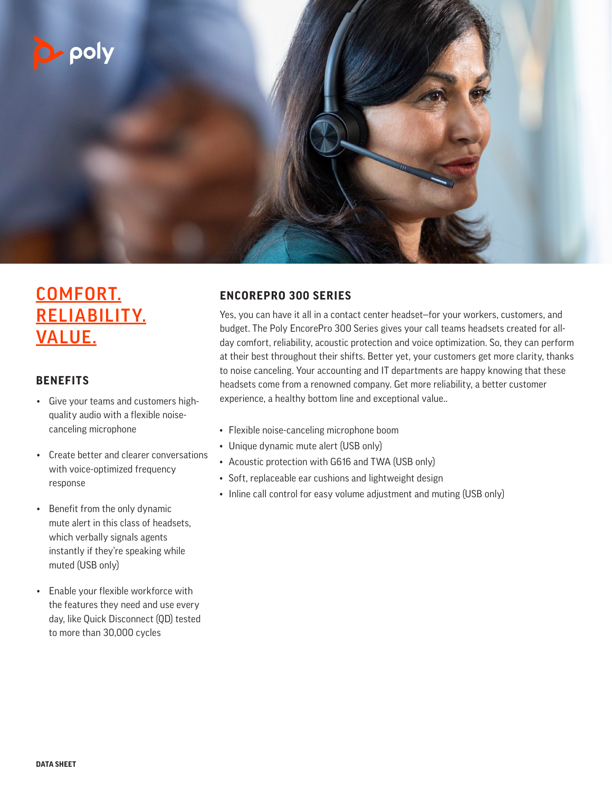

# COMFORT. RELIABILITY. VALUE.

#### **BENEFITS**

- Give your teams and customers highquality audio with a flexible noisecanceling microphone
- Create better and clearer conversations with voice-optimized frequency response
- Benefit from the only dynamic mute alert in this class of headsets, which verbally signals agents instantly if they're speaking while muted (USB only)
- Enable your flexible workforce with the features they need and use every day, like Quick Disconnect (QD) tested to more than 30,000 cycles

#### **ENCOREPRO 300 SERIES**

Yes, you can have it all in a contact center headset—for your workers, customers, and budget. The Poly EncorePro 300 Series gives your call teams headsets created for allday comfort, reliability, acoustic protection and voice optimization. So, they can perform at their best throughout their shifts. Better yet, your customers get more clarity, thanks to noise canceling. Your accounting and IT departments are happy knowing that these headsets come from a renowned company. Get more reliability, a better customer experience, a healthy bottom line and exceptional value..

- Flexible noise-canceling microphone boom
- Unique dynamic mute alert (USB only)
- Acoustic protection with G616 and TWA (USB only)
- Soft, replaceable ear cushions and lightweight design
- Inline call control for easy volume adjustment and muting (USB only)